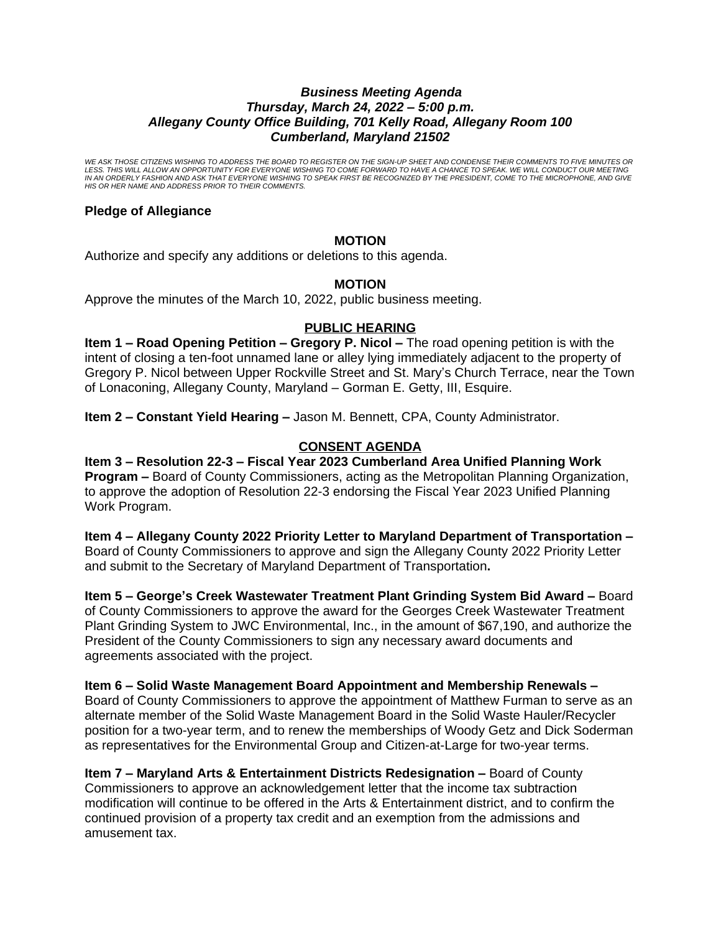## *Business Meeting Agenda Thursday, March 24, 2022 – 5:00 p.m. Allegany County Office Building, 701 Kelly Road, Allegany Room 100 Cumberland, Maryland 21502*

*WE ASK THOSE CITIZENS WISHING TO ADDRESS THE BOARD TO REGISTER ON THE SIGN-UP SHEET AND CONDENSE THEIR COMMENTS TO FIVE MINUTES OR*  LESS. THIS WILL ALLOW AN OPPORTUNITY FOR EVERYONE WISHING TO COME FORWARD TO HAVE A CHANCE TO SPEAK. WE WILL CONDUCT OUR MEETING<br>IN AN ORDERLY FASHION AND ASK THAT EVERYONE WISHING TO SPEAK FIRST BE RECOGNIZED BY THE PRESI *HIS OR HER NAME AND ADDRESS PRIOR TO THEIR COMMENTS.*

# **Pledge of Allegiance**

# **MOTION**

Authorize and specify any additions or deletions to this agenda.

## **MOTION**

Approve the minutes of the March 10, 2022, public business meeting.

## **PUBLIC HEARING**

**Item 1 – Road Opening Petition – Gregory P. Nicol – The road opening petition is with the** intent of closing a ten-foot unnamed lane or alley lying immediately adjacent to the property of Gregory P. Nicol between Upper Rockville Street and St. Mary's Church Terrace, near the Town of Lonaconing, Allegany County, Maryland – Gorman E. Getty, III, Esquire.

**Item 2 – Constant Yield Hearing –** Jason M. Bennett, CPA, County Administrator.

# **CONSENT AGENDA**

**Item 3 – Resolution 22-3 – Fiscal Year 2023 Cumberland Area Unified Planning Work Program –** Board of County Commissioners, acting as the Metropolitan Planning Organization, to approve the adoption of Resolution 22-3 endorsing the Fiscal Year 2023 Unified Planning Work Program.

**Item 4 – Allegany County 2022 Priority Letter to Maryland Department of Transportation –** Board of County Commissioners to approve and sign the Allegany County 2022 Priority Letter and submit to the Secretary of Maryland Department of Transportation**.**

**Item 5 – George's Creek Wastewater Treatment Plant Grinding System Bid Award –** Board of County Commissioners to approve the award for the Georges Creek Wastewater Treatment Plant Grinding System to JWC Environmental, Inc., in the amount of \$67,190, and authorize the President of the County Commissioners to sign any necessary award documents and agreements associated with the project.

# **Item 6 – Solid Waste Management Board Appointment and Membership Renewals –**

Board of County Commissioners to approve the appointment of Matthew Furman to serve as an alternate member of the Solid Waste Management Board in the Solid Waste Hauler/Recycler position for a two-year term, and to renew the memberships of Woody Getz and Dick Soderman as representatives for the Environmental Group and Citizen-at-Large for two-year terms.

**Item 7 – Maryland Arts & Entertainment Districts Redesignation –** Board of County Commissioners to approve an acknowledgement letter that the income tax subtraction modification will continue to be offered in the Arts & Entertainment district, and to confirm the continued provision of a property tax credit and an exemption from the admissions and amusement tax.